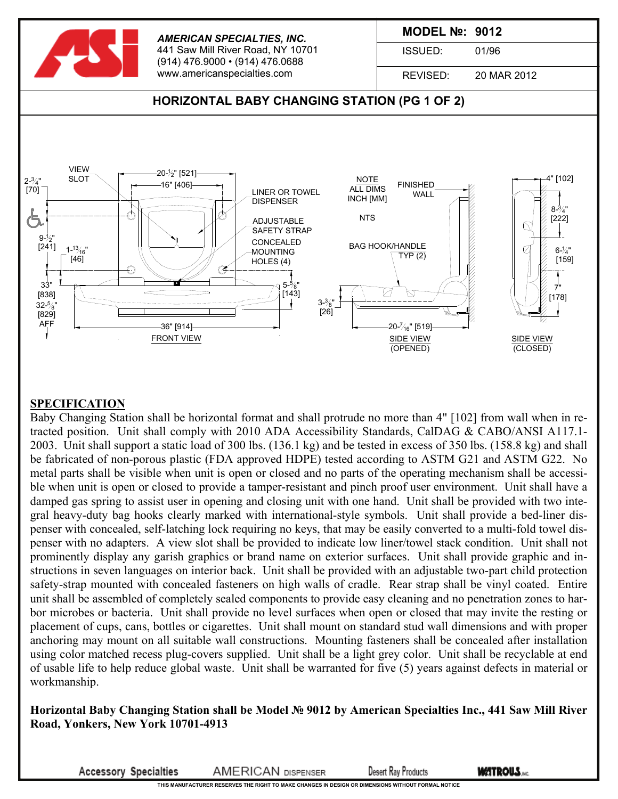

#### **SPECIFICATION**

Baby Changing Station shall be horizontal format and shall protrude no more than 4" [102] from wall when in retracted position. Unit shall comply with 2010 ADA Accessibility Standards, CalDAG & CABO/ANSI A117.1- 2003. Unit shall support a static load of 300 lbs. (136.1 kg) and be tested in excess of 350 lbs. (158.8 kg) and shall be fabricated of non-porous plastic (FDA approved HDPE) tested according to ASTM G21 and ASTM G22. No metal parts shall be visible when unit is open or closed and no parts of the operating mechanism shall be accessible when unit is open or closed to provide a tamper-resistant and pinch proof user environment. Unit shall have a damped gas spring to assist user in opening and closing unit with one hand. Unit shall be provided with two integral heavy-duty bag hooks clearly marked with international-style symbols. Unit shall provide a bed-liner dispenser with concealed, self-latching lock requiring no keys, that may be easily converted to a multi-fold towel dispenser with no adapters. A view slot shall be provided to indicate low liner/towel stack condition. Unit shall not prominently display any garish graphics or brand name on exterior surfaces. Unit shall provide graphic and instructions in seven languages on interior back. Unit shall be provided with an adjustable two-part child protection safety-strap mounted with concealed fasteners on high walls of cradle. Rear strap shall be vinyl coated. Entire unit shall be assembled of completely sealed components to provide easy cleaning and no penetration zones to harbor microbes or bacteria. Unit shall provide no level surfaces when open or closed that may invite the resting or placement of cups, cans, bottles or cigarettes. Unit shall mount on standard stud wall dimensions and with proper anchoring may mount on all suitable wall constructions. Mounting fasteners shall be concealed after installation using color matched recess plug-covers supplied. Unit shall be a light grey color. Unit shall be recyclable at end of usable life to help reduce global waste. Unit shall be warranted for five (5) years against defects in material or workmanship.

#### **Horizontal Baby Changing Station shall be Model № 9012 by American Specialties Inc., 441 Saw Mill River Road, Yonkers, New York 10701-4913**

**Accessory Specialties** 

**AMERICAN DISPENSER Desert Ray Products**  **WATROUS.**NC.

**THIS MANUFACTURER RESERVES THE RIGHT TO MAKE CHANGES IN DESIGN OR DIMENSIONS WITHOUT FORMAL NOTICE**